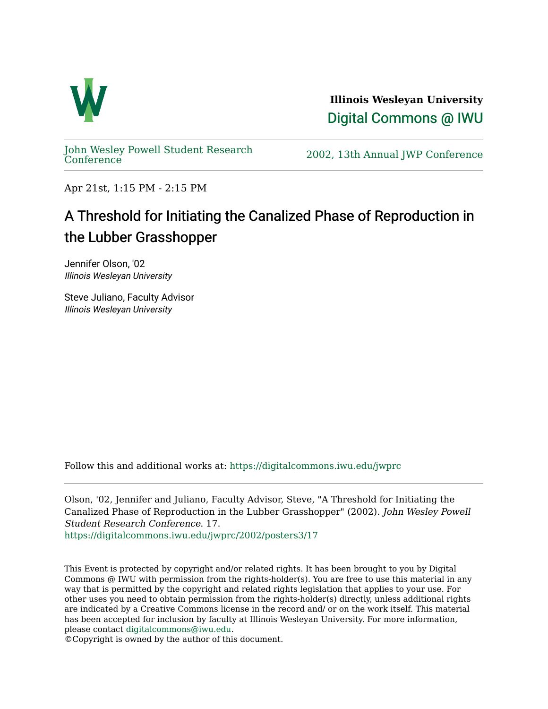

**Illinois Wesleyan University**  [Digital Commons @ IWU](https://digitalcommons.iwu.edu/) 

[John Wesley Powell Student Research](https://digitalcommons.iwu.edu/jwprc) 

2002, 13th Annual JWP [Conference](https://digitalcommons.iwu.edu/jwprc)

Apr 21st, 1:15 PM - 2:15 PM

## A Threshold for Initiating the Canalized Phase of Reproduction in the Lubber Grasshopper

Jennifer Olson, '02 Illinois Wesleyan University

Steve Juliano, Faculty Advisor Illinois Wesleyan University

Follow this and additional works at: [https://digitalcommons.iwu.edu/jwprc](https://digitalcommons.iwu.edu/jwprc?utm_source=digitalcommons.iwu.edu%2Fjwprc%2F2002%2Fposters3%2F17&utm_medium=PDF&utm_campaign=PDFCoverPages) 

Olson, '02, Jennifer and Juliano, Faculty Advisor, Steve, "A Threshold for Initiating the Canalized Phase of Reproduction in the Lubber Grasshopper" (2002). John Wesley Powell Student Research Conference. 17.

[https://digitalcommons.iwu.edu/jwprc/2002/posters3/17](https://digitalcommons.iwu.edu/jwprc/2002/posters3/17?utm_source=digitalcommons.iwu.edu%2Fjwprc%2F2002%2Fposters3%2F17&utm_medium=PDF&utm_campaign=PDFCoverPages) 

This Event is protected by copyright and/or related rights. It has been brought to you by Digital Commons @ IWU with permission from the rights-holder(s). You are free to use this material in any way that is permitted by the copyright and related rights legislation that applies to your use. For other uses you need to obtain permission from the rights-holder(s) directly, unless additional rights are indicated by a Creative Commons license in the record and/ or on the work itself. This material has been accepted for inclusion by faculty at Illinois Wesleyan University. For more information, please contact [digitalcommons@iwu.edu.](mailto:digitalcommons@iwu.edu)

©Copyright is owned by the author of this document.